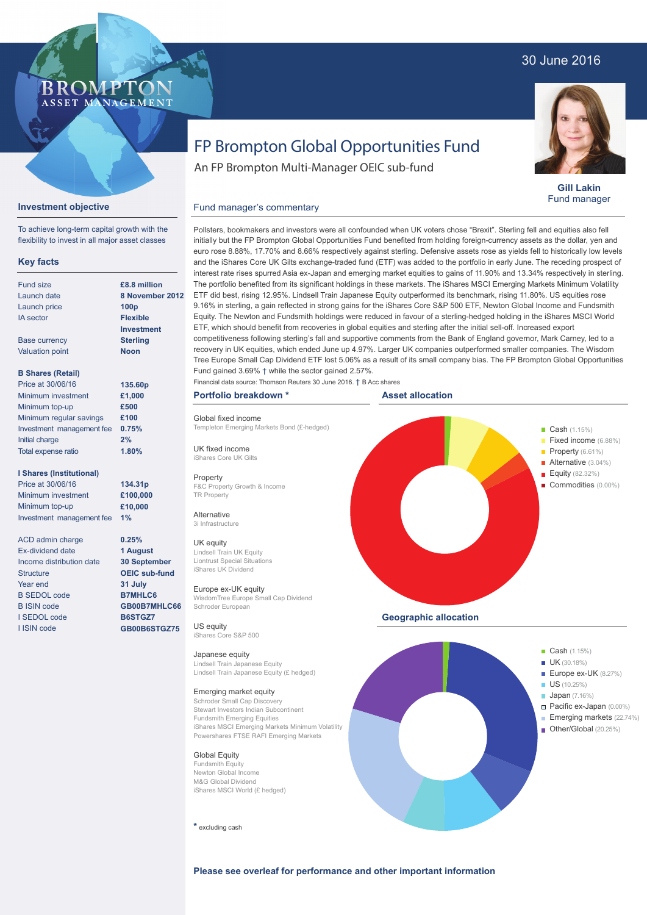## 30 June 2016



**Gill Lakin** Fund manager

# FP Brompton Global Opportunities Fund

An FP Brompton Multi-Manager OEIC sub-fund

## **Investment objective**

To achieve long-term capital growth with the flexibility to invest in all major asset classes

**BROMP** 

ASSET MANAGEMENT

### **Key facts**

| <b>Fund size</b>          | £8.8 million      |
|---------------------------|-------------------|
| Launch date               | 8 Novembe         |
| Launch price              | 100 <sub>D</sub>  |
| <b>IA</b> sector          | <b>Flexible</b>   |
|                           | <b>Investment</b> |
| <b>Base currency</b>      | <b>Sterling</b>   |
| <b>Valuation point</b>    | Noon              |
| <b>B Shares (Retail)</b>  |                   |
| Price at 30/06/16         | 135.60p           |
| Minimum investment        | £1,000            |
| Minimum top-up            | £500              |
| Minimum regular savings   | £100              |
| Investment management fee | 0.75%             |

#### **I Shares (Institutional)**

Initial charge Total expense ratio

Price at 30/06/16 Minimum investment Minimum top-up Investment management fee **1%**

ACD admin charge Ex-dividend date Income distribution date **Structure** Year end B SEDOL code B ISIN code I SEDOL code I ISIN code

**8 November 2012** ETF did best, rising 12.95%. Lindsell Train Japanese Equity outperformed its benchmark, rising 11.80%. US equities rose Pollsters, bookmakers and investors were all confounded when UK voters chose "Brexit". Sterling fell and equities also fell initially but the FP Brompton Global Opportunities Fund benefited from holding foreign-currency assets as the dollar, yen and euro rose 8.88%, 17.70% and 8.66% respectively against sterling. Defensive assets rose as yields fell to historically low levels and the iShares Core UK Gilts exchange-traded fund (ETF) was added to the portfolio in early June. The receding prospect of interest rate rises spurred Asia ex-Japan and emerging market equities to gains of 11.90% and 13.34% respectively in sterling. The portfolio benefited from its significant holdings in these markets. The iShares MSCI Emerging Markets Minimum Volatility 9.16% in sterling, a gain reflected in strong gains for the iShares Core S&P 500 ETF, Newton Global Income and Fundsmith Equity. The Newton and Fundsmith holdings were reduced in favour of a sterling-hedged holding in the iShares MSCI World ETF, which should benefit from recoveries in global equities and sterling after the initial sell-off. Increased export competitiveness following sterling's fall and supportive comments from the Bank of England governor, Mark Carney, led to a recovery in UK equities, which ended June up 4.97%. Larger UK companies outperformed smaller companies. The Wisdom Tree Europe Small Cap Dividend ETF lost 5.06% as a result of its small company bias. The FP Brompton Global Opportunities Fund gained 3.69% † while the sector gained 2.57%.

### **Portfolio breakdown \***

Fund manager's commentary

Global fixed income Templeton Emerging Markets Bond (£-hedged)

UK fixed income iShares Core UK Gilts

#### **Property**

F&C Property Growth & Income TR Property

#### Alternative 3i Infrastructure

UK equity

Lindsell Train UK Equity Liontrust Special Situations iShares UK Dividend

#### Europe ex-UK equity WisdomTree Europe Small Cap Dividend Schroder European

US equity iShares Core S&P 500

#### Japanese equity

Lindsell Train Japanese Equity Lindsell Train Japanese Equity (£ hedged)

### Emerging market equity

Schroder Small Cap Discovery Stewart Investors Indian Subcontinent Fundsmith Emerging Equities iShares MSCI Emerging Markets Minimum Volatility Powershares FTSE RAFI Emerging Markets

#### Global Equity

Fundsmith Equity Newton Global Income M&G Global Dividend iShares MSCI World (£ hedged)

**\*** excluding cash







#### **Please see overleaf for performance and other important information**

# **2% 1.80%**

**134.31p £100,000 £10,000**

**0.25% 1 August 30 September OEIC sub-fund 31 July B7MHLC6 GB00B7MHLC66 B6STGZ7 GB00B6STGZ75**